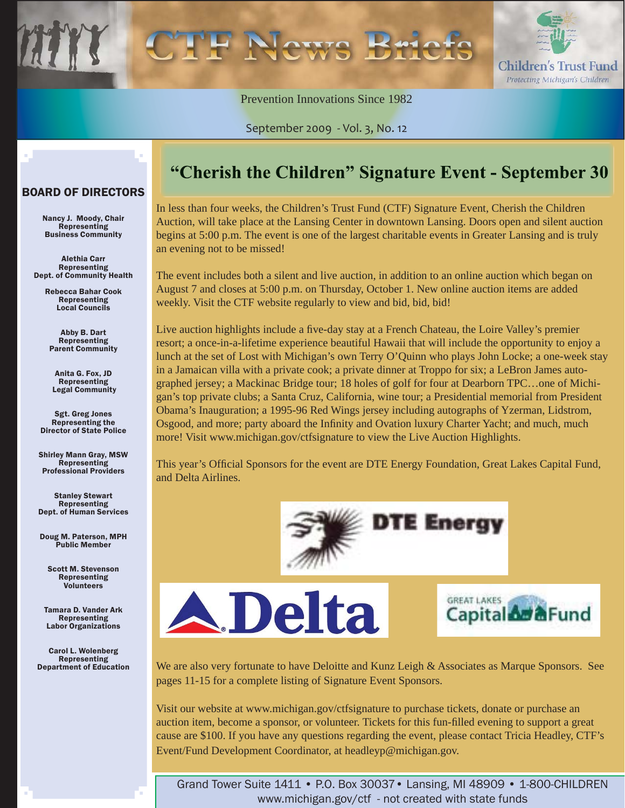

Prevention Innovations Since 1982

September 2009 - Vol. 3, No. 12

#### BOARD OF DIRECTORS

Nancy J. Moody, Chair Representing Business Community

Alethia Carr Representing Dept. of Community Health

> Rebecca Bahar Cook Representing Local Councils

Abby B. Dart Representing Parent Community

Anita G. Fox, JD Representing Legal Community

Sgt. Greg Jones Representing the Director of State Police

Shirley Mann Gray, MSW Representing Professional Providers

Stanley Stewart **Representing** Dept. of Human Services

Doug M. Paterson, MPH Public Member

Scott M. Stevenson Representing Volunteers

Tamara D. Vander Ark **Representing** Labor Organizations

Carol L. Wolenberg Representing Department of Education

### "Cherish the Children" Signature Event - September 30

In less than four weeks, the Children's Trust Fund (CTF) Signature Event, Cherish the Children Auction, will take place at the Lansing Center in downtown Lansing. Doors open and silent auction begins at 5:00 p.m. The event is one of the largest charitable events in Greater Lansing and is truly an evening not to be missed!

The event includes both a silent and live auction, in addition to an online auction which began on August 7 and closes at 5:00 p.m. on Thursday, October 1. New online auction items are added weekly. Visit the CTF website regularly to view and bid, bid, bid!

Live auction highlights include a five-day stay at a French Chateau, the Loire Valley's premier resort; a once-in-a-lifetime experience beautiful Hawaii that will include the opportunity to enjoy a lunch at the set of Lost with Michigan's own Terry O'Quinn who plays John Locke; a one-week stay in a Jamaican villa with a private cook; a private dinner at Troppo for six; a LeBron James autographed jersey; a Mackinac Bridge tour; 18 holes of golf for four at Dearborn TPC…one of Michigan's top private clubs; a Santa Cruz, California, wine tour; a Presidential memorial from President Obama's Inauguration; a 1995-96 Red Wings jersey including autographs of Yzerman, Lidstrom, Osgood, and more; party aboard the Infinity and Ovation luxury Charter Yacht; and much, much more! Visit www.michigan.gov/ctfsignature to view the Live Auction Highlights.

This year's Official Sponsors for the event are DTE Energy Foundation, Great Lakes Capital Fund, and Delta Airlines.

**DTE Energy** 





We are also very fortunate to have Deloitte and Kunz Leigh & Associates as Marque Sponsors. See pages 11-15 for a complete listing of Signature Event Sponsors.

Visit our website at www.michigan.gov/ctfsignature to purchase tickets, donate or purchase an auction item, become a sponsor, or volunteer. Tickets for this fun-filled evening to support a great cause are \$100. If you have any questions regarding the event, please contact Tricia Headley, CTF's Event/Fund Development Coordinator, at headleyp@michigan.gov.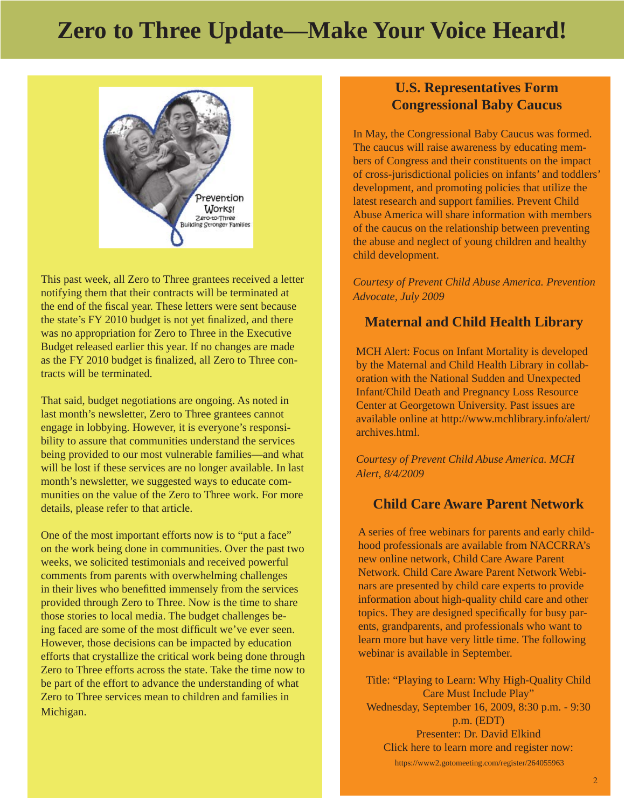# **Zero to Three Update—Make Your Voice Heard!**



This past week, all Zero to Three grantees received a letter notifying them that their contracts will be terminated at the end of the fiscal year. These letters were sent because the state's FY 2010 budget is not yet finalized, and there was no appropriation for Zero to Three in the Executive Budget released earlier this year. If no changes are made as the FY 2010 budget is finalized, all Zero to Three contracts will be terminated.

That said, budget negotiations are ongoing. As noted in last month's newsletter, Zero to Three grantees cannot engage in lobbying. However, it is everyone's responsibility to assure that communities understand the services being provided to our most vulnerable families—and what will be lost if these services are no longer available. In last month's newsletter, we suggested ways to educate communities on the value of the Zero to Three work. For more details, please refer to that article.

One of the most important efforts now is to "put a face" on the work being done in communities. Over the past two weeks, we solicited testimonials and received powerful comments from parents with overwhelming challenges in their lives who benefitted immensely from the services provided through Zero to Three. Now is the time to share those stories to local media. The budget challenges being faced are some of the most difficult we've ever seen. However, those decisions can be impacted by education efforts that crystallize the critical work being done through Zero to Three efforts across the state. Take the time now to be part of the effort to advance the understanding of what Zero to Three services mean to children and families in Michigan.

#### **U.S. Representatives Form Congressional Baby Caucus**

In May, the Congressional Baby Caucus was formed. The caucus will raise awareness by educating members of Congress and their constituents on the impact of cross-jurisdictional policies on infants' and toddlers' development, and promoting policies that utilize the latest research and support families. Prevent Child Abuse America will share information with members of the caucus on the relationship between preventing the abuse and neglect of young children and healthy child development.

*Courtesy of Prevent Child Abuse America. Prevention Advocate, July 2009*

#### **Maternal and Child Health Library**

MCH Alert: Focus on Infant Mortality is developed by the Maternal and Child Health Library in collaboration with the National Sudden and Unexpected Infant/Child Death and Pregnancy Loss Resource Center at Georgetown University. Past issues are available online at http://www.mchlibrary.info/alert/ archives.html.

*Courtesy of Prevent Child Abuse America. MCH Alert, 8/4/2009*

#### **Child Care Aware Parent Network**

A series of free webinars for parents and early childhood professionals are available from NACCRRA's new online network, Child Care Aware Parent Network. Child Care Aware Parent Network Webinars are presented by child care experts to provide information about high-quality child care and other topics. They are designed specifically for busy parents, grandparents, and professionals who want to learn more but have very little time. The following webinar is available in September.

Title: "Playing to Learn: Why High-Quality Child Care Must Include Play" Wednesday, September 16, 2009, 8:30 p.m. - 9:30 p.m. (EDT) Presenter: Dr. David Elkind Click here to learn more and register now:

https://www2.gotomeeting.com/register/264055963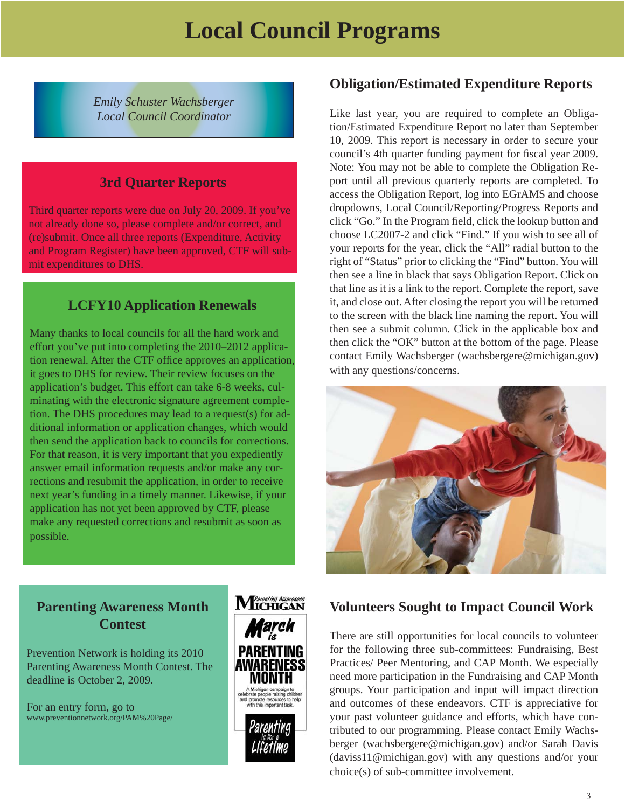*Emily Schuster Wachsberger Local Council Coordinator*

#### **3rd Quarter Reports**

Third quarter reports were due on July 20, 2009. If you've not already done so, please complete and/or correct, and (re)submit. Once all three reports (Expenditure, Activity and Program Register) have been approved, CTF will submit expenditures to DHS.

#### **LCFY10 Application Renewals**

Many thanks to local councils for all the hard work and effort you've put into completing the 2010–2012 application renewal. After the CTF office approves an application, it goes to DHS for review. Their review focuses on the application's budget. This effort can take 6-8 weeks, culminating with the electronic signature agreement completion. The DHS procedures may lead to a request(s) for additional information or application changes, which would then send the application back to councils for corrections. For that reason, it is very important that you expediently answer email information requests and/or make any corrections and resubmit the application, in order to receive next year's funding in a timely manner. Likewise, if your application has not yet been approved by CTF, please make any requested corrections and resubmit as soon as possible.

#### **Obligation/Estimated Expenditure Reports**

Like last year, you are required to complete an Obligation/Estimated Expenditure Report no later than September 10, 2009. This report is necessary in order to secure your council's 4th quarter funding payment for fiscal year 2009. Note: You may not be able to complete the Obligation Report until all previous quarterly reports are completed. To access the Obligation Report, log into EGrAMS and choose dropdowns, Local Council/Reporting/Progress Reports and click "Go." In the Program field, click the lookup button and choose LC2007-2 and click "Find." If you wish to see all of your reports for the year, click the "All" radial button to the right of "Status" prior to clicking the "Find" button. You will then see a line in black that says Obligation Report. Click on that line as it is a link to the report. Complete the report, save it, and close out. After closing the report you will be returned to the screen with the black line naming the report. You will then see a submit column. Click in the applicable box and then click the "OK" button at the bottom of the page. Please contact Emily Wachsberger (wachsbergere@michigan.gov) with any questions/concerns.



#### **Parenting Awareness Month Contest**

Prevention Network is holding its 2010 Parenting Awareness Month Contest. The deadline is October 2, 2009.

For an entry form, go to www.preventionnetwork.org/PAM%20Page/



#### **Volunteers Sought to Impact Council Work**

There are still opportunities for local councils to volunteer for the following three sub-committees: Fundraising, Best Practices/ Peer Mentoring, and CAP Month. We especially need more participation in the Fundraising and CAP Month groups. Your participation and input will impact direction and outcomes of these endeavors. CTF is appreciative for your past volunteer guidance and efforts, which have contributed to our programming. Please contact Emily Wachsberger (wachsbergere@michigan.gov) and/or Sarah Davis (daviss11@michigan.gov) with any questions and/or your choice(s) of sub-committee involvement.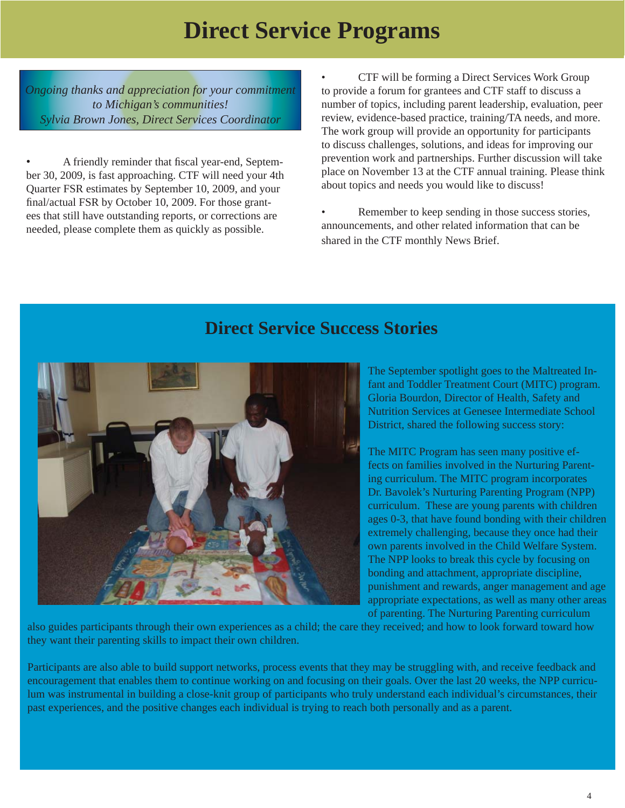# **Direct Service Programs**

*Ongoing thanks and appreciation for your commitment to Michigan's communities! Sylvia Brown Jones, Direct Services Coordinator*

• A friendly reminder that fiscal year-end, September 30, 2009, is fast approaching. CTF will need your 4th Quarter FSR estimates by September 10, 2009, and your final/actual FSR by October 10, 2009. For those grantees that still have outstanding reports, or corrections are needed, please complete them as quickly as possible.

• CTF will be forming a Direct Services Work Group to provide a forum for grantees and CTF staff to discuss a number of topics, including parent leadership, evaluation, peer review, evidence-based practice, training/TA needs, and more. The work group will provide an opportunity for participants to discuss challenges, solutions, and ideas for improving our prevention work and partnerships. Further discussion will take place on November 13 at the CTF annual training. Please think about topics and needs you would like to discuss!

Remember to keep sending in those success stories, announcements, and other related information that can be shared in the CTF monthly News Brief.

### **Direct Service Success Stories**



The September spotlight goes to the Maltreated Infant and Toddler Treatment Court (MITC) program. Gloria Bourdon, Director of Health, Safety and Nutrition Services at Genesee Intermediate School District, shared the following success story:

The MITC Program has seen many positive effects on families involved in the Nurturing Parenting curriculum. The MITC program incorporates Dr. Bavolek's Nurturing Parenting Program (NPP) curriculum. These are young parents with children ages 0-3, that have found bonding with their children extremely challenging, because they once had their own parents involved in the Child Welfare System. The NPP looks to break this cycle by focusing on bonding and attachment, appropriate discipline, punishment and rewards, anger management and age appropriate expectations, as well as many other areas of parenting. The Nurturing Parenting curriculum

also guides participants through their own experiences as a child; the care they received; and how to look forward toward how they want their parenting skills to impact their own children.

Participants are also able to build support networks, process events that they may be struggling with, and receive feedback and encouragement that enables them to continue working on and focusing on their goals. Over the last 20 weeks, the NPP curriculum was instrumental in building a close-knit group of participants who truly understand each individual's circumstances, their past experiences, and the positive changes each individual is trying to reach both personally and as a parent.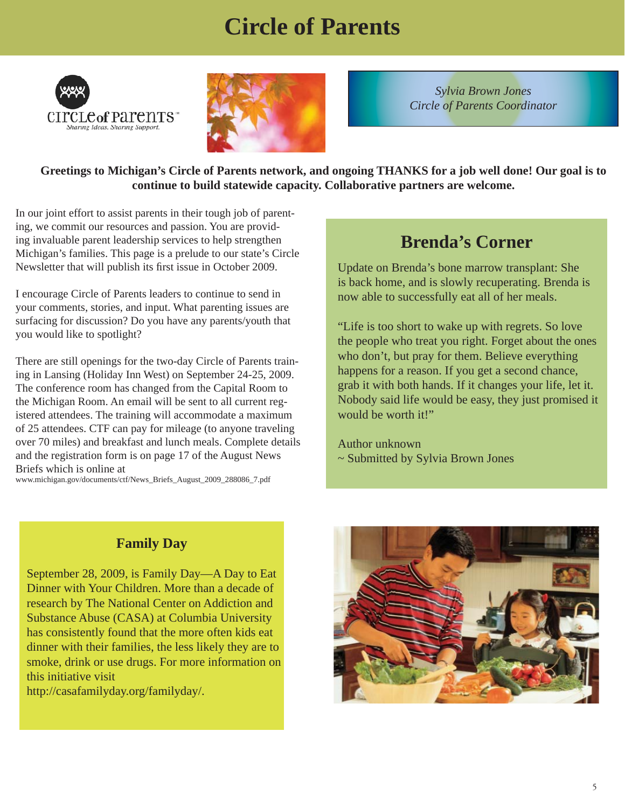# **Circle of Parents**





*Sylvia Brown Jones Circle of Parents Coordinator*

**Greetings to Michigan's Circle of Parents network, and ongoing THANKS for a job well done! Our goal is to continue to build statewide capacity. Collaborative partners are welcome.** 

In our joint effort to assist parents in their tough job of parenting, we commit our resources and passion. You are providing invaluable parent leadership services to help strengthen Michigan's families. This page is a prelude to our state's Circle Newsletter that will publish its first issue in October 2009.

I encourage Circle of Parents leaders to continue to send in your comments, stories, and input. What parenting issues are surfacing for discussion? Do you have any parents/youth that you would like to spotlight?

There are still openings for the two-day Circle of Parents training in Lansing (Holiday Inn West) on September 24-25, 2009. The conference room has changed from the Capital Room to the Michigan Room. An email will be sent to all current registered attendees. The training will accommodate a maximum of 25 attendees. CTF can pay for mileage (to anyone traveling over 70 miles) and breakfast and lunch meals. Complete details and the registration form is on page 17 of the August News Briefs which is online at

www.michigan.gov/documents/ctf/News\_Briefs\_August\_2009\_288086\_7.pdf

### **Brenda's Corner**

Update on Brenda's bone marrow transplant: She is back home, and is slowly recuperating. Brenda is now able to successfully eat all of her meals.

"Life is too short to wake up with regrets. So love the people who treat you right. Forget about the ones who don't, but pray for them. Believe everything happens for a reason. If you get a second chance, grab it with both hands. If it changes your life, let it. Nobody said life would be easy, they just promised it would be worth it!"

Author unknown ~ Submitted by Sylvia Brown Jones

### **Family Day**

September 28, 2009, is Family Day—A Day to Eat Dinner with Your Children. More than a decade of research by The National Center on Addiction and Substance Abuse (CASA) at Columbia University has consistently found that the more often kids eat dinner with their families, the less likely they are to smoke, drink or use drugs. For more information on this initiative visit

http://casafamilyday.org/familyday/.

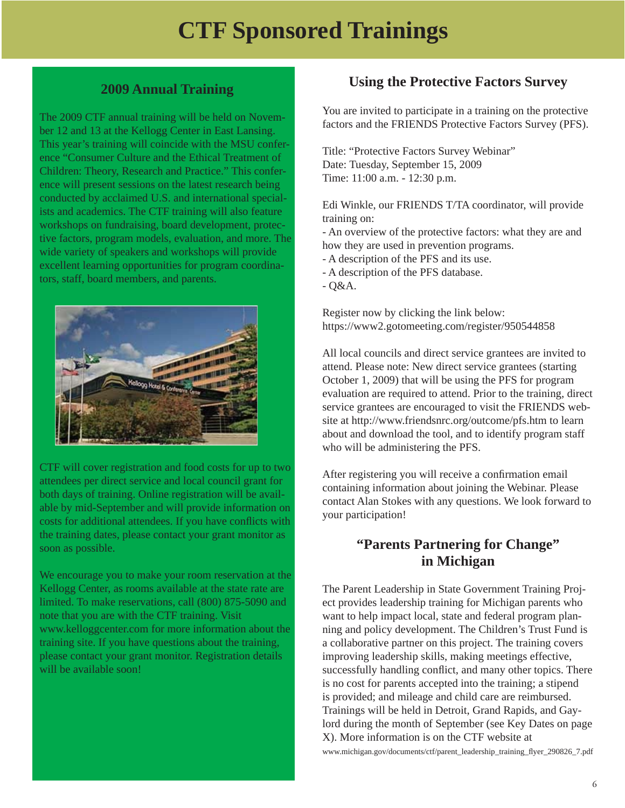# **CTF Sponsored Trainings**

#### **2009 Annual Training**

The 2009 CTF annual training will be held on November 12 and 13 at the Kellogg Center in East Lansing. This year's training will coincide with the MSU conference "Consumer Culture and the Ethical Treatment of Children: Theory, Research and Practice." This conference will present sessions on the latest research being conducted by acclaimed U.S. and international specialists and academics. The CTF training will also feature workshops on fundraising, board development, protective factors, program models, evaluation, and more. The wide variety of speakers and workshops will provide excellent learning opportunities for program coordinators, staff, board members, and parents.



CTF will cover registration and food costs for up to two attendees per direct service and local council grant for both days of training. Online registration will be available by mid-September and will provide information on costs for additional attendees. If you have conflicts with the training dates, please contact your grant monitor as soon as possible.

We encourage you to make your room reservation at the Kellogg Center, as rooms available at the state rate are limited. To make reservations, call (800) 875-5090 and note that you are with the CTF training. Visit www.kelloggcenter.com for more information about the training site. If you have questions about the training, please contact your grant monitor. Registration details will be available soon!

#### **Using the Protective Factors Survey**

You are invited to participate in a training on the protective factors and the FRIENDS Protective Factors Survey (PFS).

Title: "Protective Factors Survey Webinar" Date: Tuesday, September 15, 2009 Time: 11:00 a.m. - 12:30 p.m.

Edi Winkle, our FRIENDS T/TA coordinator, will provide training on:

- An overview of the protective factors: what they are and how they are used in prevention programs.

- A description of the PFS and its use.

- A description of the PFS database.

- Q&A.

Register now by clicking the link below: https://www2.gotomeeting.com/register/950544858

All local councils and direct service grantees are invited to attend. Please note: New direct service grantees (starting October 1, 2009) that will be using the PFS for program evaluation are required to attend. Prior to the training, direct service grantees are encouraged to visit the FRIENDS website at http://www.friendsnrc.org/outcome/pfs.htm to learn about and download the tool, and to identify program staff who will be administering the PFS.

After registering you will receive a confirmation email containing information about joining the Webinar. Please contact Alan Stokes with any questions. We look forward to your participation!

#### **"Parents Partnering for Change" in Michigan**

The Parent Leadership in State Government Training Project provides leadership training for Michigan parents who want to help impact local, state and federal program planning and policy development. The Children's Trust Fund is a collaborative partner on this project. The training covers improving leadership skills, making meetings effective, successfully handling conflict, and many other topics. There is no cost for parents accepted into the training; a stipend is provided; and mileage and child care are reimbursed. Trainings will be held in Detroit, Grand Rapids, and Gaylord during the month of September (see Key Dates on page X). More information is on the CTF website at www.michigan.gov/documents/ctf/parent\_leadership\_training\_fl yer\_290826\_7.pdf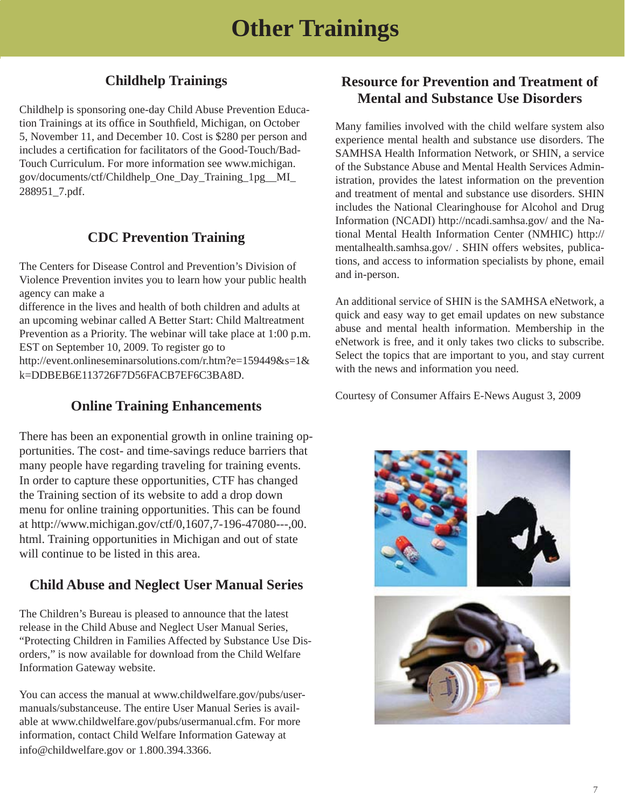#### **Childhelp Trainings**

Childhelp is sponsoring one-day Child Abuse Prevention Education Trainings at its office in Southfield, Michigan, on October 5, November 11, and December 10. Cost is \$280 per person and includes a certification for facilitators of the Good-Touch/Bad-Touch Curriculum. For more information see www.michigan. gov/documents/ctf/Childhelp\_One\_Day\_Training\_1pg\_\_MI\_ 288951\_7.pdf.

#### **CDC Prevention Training**

The Centers for Disease Control and Prevention's Division of Violence Prevention invites you to learn how your public health agency can make a

difference in the lives and health of both children and adults at an upcoming webinar called A Better Start: Child Maltreatment Prevention as a Priority. The webinar will take place at 1:00 p.m. EST on September 10, 2009. To register go to http://event.onlineseminarsolutions.com/r.htm?e=159449&s=1& k=DDBEB6E113726F7D56FACB7EF6C3BA8D.

#### **Online Training Enhancements**

There has been an exponential growth in online training opportunities. The cost- and time-savings reduce barriers that many people have regarding traveling for training events. In order to capture these opportunities, CTF has changed the Training section of its website to add a drop down menu for online training opportunities. This can be found at http://www.michigan.gov/ctf/0,1607,7-196-47080---,00. html. Training opportunities in Michigan and out of state will continue to be listed in this area.

#### **Child Abuse and Neglect User Manual Series**

The Children's Bureau is pleased to announce that the latest release in the Child Abuse and Neglect User Manual Series, "Protecting Children in Families Affected by Substance Use Disorders," is now available for download from the Child Welfare Information Gateway website.

You can access the manual at www.childwelfare.gov/pubs/usermanuals/substanceuse. The entire User Manual Series is available at www.childwelfare.gov/pubs/usermanual.cfm. For more information, contact Child Welfare Information Gateway at info@childwelfare.gov or 1.800.394.3366.

#### **Resource for Prevention and Treatment of Mental and Substance Use Disorders**

Many families involved with the child welfare system also experience mental health and substance use disorders. The SAMHSA Health Information Network, or SHIN, a service of the Substance Abuse and Mental Health Services Administration, provides the latest information on the prevention and treatment of mental and substance use disorders. SHIN includes the National Clearinghouse for Alcohol and Drug Information (NCADI) http://ncadi.samhsa.gov/ and the National Mental Health Information Center (NMHIC) http:// mentalhealth.samhsa.gov/ . SHIN offers websites, publications, and access to information specialists by phone, email and in-person.

An additional service of SHIN is the SAMHSA eNetwork, a quick and easy way to get email updates on new substance abuse and mental health information. Membership in the eNetwork is free, and it only takes two clicks to subscribe. Select the topics that are important to you, and stay current with the news and information you need.

Courtesy of Consumer Affairs E-News August 3, 2009

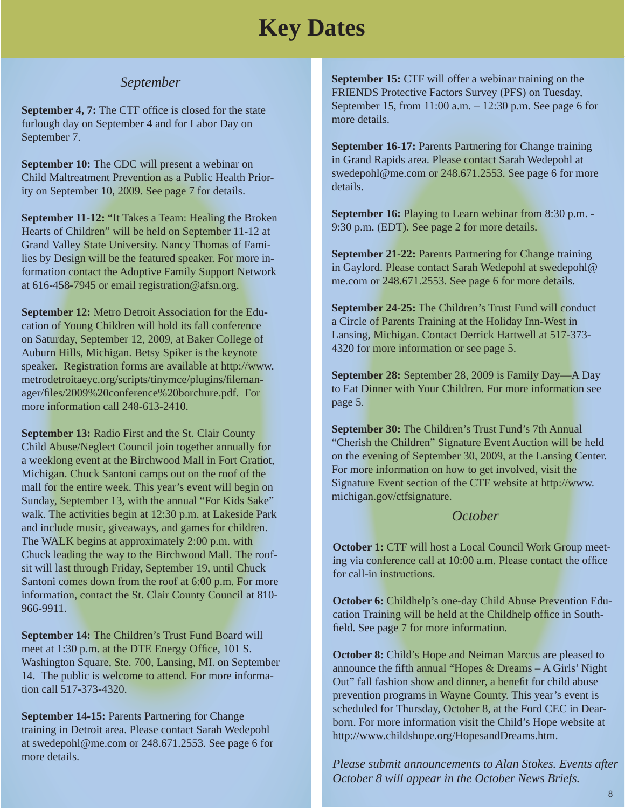# **Key Dates**

#### *September*

**September 4, 7:** The CTF office is closed for the state furlough day on September 4 and for Labor Day on September 7.

**September 10:** The CDC will present a webinar on Child Maltreatment Prevention as a Public Health Priority on September 10, 2009. See page 7 for details.

**September 11-12:** "It Takes a Team: Healing the Broken Hearts of Children" will be held on September 11-12 at Grand Valley State University. Nancy Thomas of Families by Design will be the featured speaker. For more information contact the Adoptive Family Support Network at 616-458-7945 or email registration@afsn.org.

**September 12:** Metro Detroit Association for the Education of Young Children will hold its fall conference on Saturday, September 12, 2009, at Baker College of Auburn Hills, Michigan. Betsy Spiker is the keynote speaker. Registration forms are available at http://www. metrodetroitaeyc.org/scripts/tinymce/plugins/filemanager/files/2009%20conference%20borchure.pdf. For more information call 248-613-2410.

**September 13:** Radio First and the St. Clair County Child Abuse/Neglect Council join together annually for a weeklong event at the Birchwood Mall in Fort Gratiot, Michigan. Chuck Santoni camps out on the roof of the mall for the entire week. This year's event will begin on Sunday, September 13, with the annual "For Kids Sake" walk. The activities begin at 12:30 p.m. at Lakeside Park and include music, giveaways, and games for children. The WALK begins at approximately 2:00 p.m. with Chuck leading the way to the Birchwood Mall. The roofsit will last through Friday, September 19, until Chuck Santoni comes down from the roof at 6:00 p.m. For more information, contact the St. Clair County Council at 810- 966-9911.

**September 14:** The Children's Trust Fund Board will meet at 1:30 p.m. at the DTE Energy Office, 101 S. Washington Square, Ste. 700, Lansing, MI. on September 14. The public is welcome to attend. For more information call 517-373-4320.

**September 14-15:** Parents Partnering for Change training in Detroit area. Please contact Sarah Wedepohl at swedepohl@me.com or 248.671.2553. See page 6 for more details.

**September 15:** CTF will offer a webinar training on the FRIENDS Protective Factors Survey (PFS) on Tuesday, September 15, from 11:00 a.m. – 12:30 p.m. See page 6 for more details.

**September 16-17:** Parents Partnering for Change training in Grand Rapids area. Please contact Sarah Wedepohl at swedepohl@me.com or 248.671.2553. See page 6 for more details.

**September 16:** Playing to Learn webinar from 8:30 p.m. - 9:30 p.m. (EDT). See page 2 for more details.

**September 21-22:** Parents Partnering for Change training in Gaylord. Please contact Sarah Wedepohl at swedepohl@ me.com or 248.671.2553. See page 6 for more details.

**September 24-25:** The Children's Trust Fund will conduct a Circle of Parents Training at the Holiday Inn-West in Lansing, Michigan. Contact Derrick Hartwell at 517-373- 4320 for more information or see page 5.

**September 28:** September 28, 2009 is Family Day—A Day to Eat Dinner with Your Children. For more information see page 5.

**September 30:** The Children's Trust Fund's 7th Annual "Cherish the Children" Signature Event Auction will be held on the evening of September 30, 2009, at the Lansing Center. For more information on how to get involved, visit the Signature Event section of the CTF website at http://www. michigan.gov/ctfsignature.

#### *October*

**October 1:** CTF will host a Local Council Work Group meeting via conference call at 10:00 a.m. Please contact the office for call-in instructions.

**October 6:** Childhelp's one-day Child Abuse Prevention Education Training will be held at the Childhelp office in Southfield. See page 7 for more information.

**October 8:** Child's Hope and Neiman Marcus are pleased to announce the fifth annual "Hopes  $&$  Dreams – A Girls' Night Out" fall fashion show and dinner, a benefit for child abuse prevention programs in Wayne County. This year's event is scheduled for Thursday, October 8, at the Ford CEC in Dearborn. For more information visit the Child's Hope website at http://www.childshope.org/HopesandDreams.htm.

*Please submit announcements to Alan Stokes. Events after October 8 will appear in the October News Briefs.*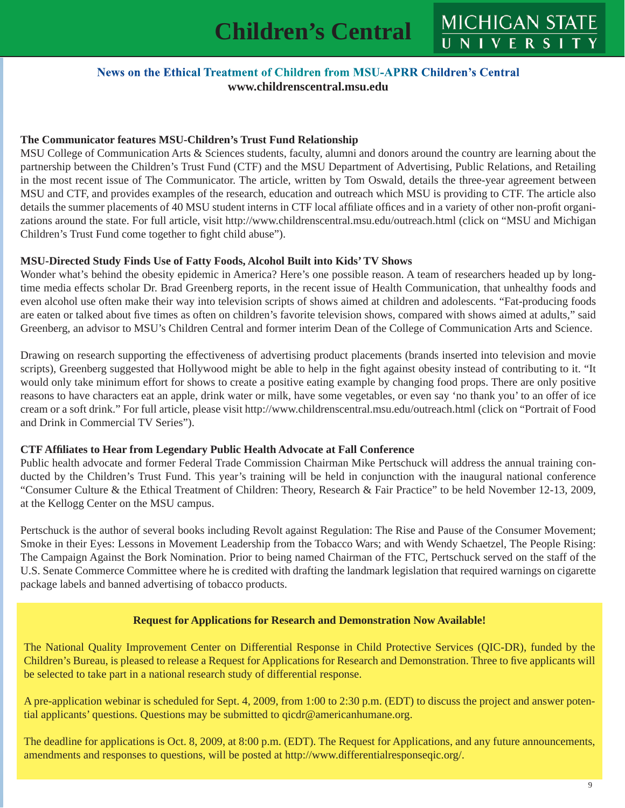#### News on the Ethical Treatment of Children from MSU-APRR Children's Central **www.childrenscentral.msu.edu**

#### **The Communicator features MSU-Children's Trust Fund Relationship**

MSU College of Communication Arts & Sciences students, faculty, alumni and donors around the country are learning about the partnership between the Children's Trust Fund (CTF) and the MSU Department of Advertising, Public Relations, and Retailing in the most recent issue of The Communicator. The article, written by Tom Oswald, details the three-year agreement between MSU and CTF, and provides examples of the research, education and outreach which MSU is providing to CTF. The article also details the summer placements of 40 MSU student interns in CTF local affiliate offices and in a variety of other non-profit organizations around the state. For full article, visit http://www.childrenscentral.msu.edu/outreach.html (click on "MSU and Michigan Children's Trust Fund come together to fight child abuse").

#### **MSU-Directed Study Finds Use of Fatty Foods, Alcohol Built into Kids' TV Shows**

Wonder what's behind the obesity epidemic in America? Here's one possible reason. A team of researchers headed up by longtime media effects scholar Dr. Brad Greenberg reports, in the recent issue of Health Communication, that unhealthy foods and even alcohol use often make their way into television scripts of shows aimed at children and adolescents. "Fat-producing foods are eaten or talked about five times as often on children's favorite television shows, compared with shows aimed at adults," said Greenberg, an advisor to MSU's Children Central and former interim Dean of the College of Communication Arts and Science.

Drawing on research supporting the effectiveness of advertising product placements (brands inserted into television and movie scripts), Greenberg suggested that Hollywood might be able to help in the fight against obesity instead of contributing to it. "It would only take minimum effort for shows to create a positive eating example by changing food props. There are only positive reasons to have characters eat an apple, drink water or milk, have some vegetables, or even say 'no thank you' to an offer of ice cream or a soft drink." For full article, please visit http://www.childrenscentral.msu.edu/outreach.html (click on "Portrait of Food and Drink in Commercial TV Series").

#### **CTF Affi liates to Hear from Legendary Public Health Advocate at Fall Conference**

Public health advocate and former Federal Trade Commission Chairman Mike Pertschuck will address the annual training conducted by the Children's Trust Fund. This year's training will be held in conjunction with the inaugural national conference "Consumer Culture & the Ethical Treatment of Children: Theory, Research & Fair Practice" to be held November 12-13, 2009, at the Kellogg Center on the MSU campus.

Pertschuck is the author of several books including Revolt against Regulation: The Rise and Pause of the Consumer Movement; Smoke in their Eyes: Lessons in Movement Leadership from the Tobacco Wars; and with Wendy Schaetzel, The People Rising: The Campaign Against the Bork Nomination. Prior to being named Chairman of the FTC, Pertschuck served on the staff of the U.S. Senate Commerce Committee where he is credited with drafting the landmark legislation that required warnings on cigarette package labels and banned advertising of tobacco products.

#### **Request for Applications for Research and Demonstration Now Available!**

The National Quality Improvement Center on Differential Response in Child Protective Services (QIC-DR), funded by the Children's Bureau, is pleased to release a Request for Applications for Research and Demonstration. Three to five applicants will be selected to take part in a national research study of differential response.

A pre-application webinar is scheduled for Sept. 4, 2009, from 1:00 to 2:30 p.m. (EDT) to discuss the project and answer potential applicants' questions. Questions may be submitted to qicdr@americanhumane.org.

The deadline for applications is Oct. 8, 2009, at 8:00 p.m. (EDT). The Request for Applications, and any future announcements, amendments and responses to questions, will be posted at http://www.differentialresponseqic.org/.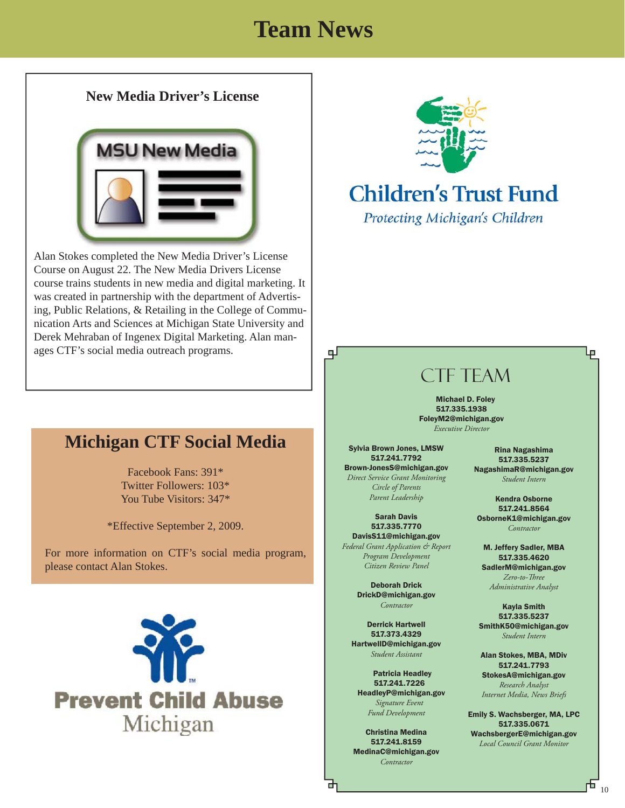# **Team News**

பு

#### **New Media Driver's License**



Alan Stokes completed the New Media Driver's License Course on August 22. The New Media Drivers License course trains students in new media and digital marketing. It was created in partnership with the department of Advertising, Public Relations, & Retailing in the College of Communication Arts and Sciences at Michigan State University and Derek Mehraban of Ingenex Digital Marketing. Alan manages CTF's social media outreach programs.



# **Children's Trust Fund**

Protecting Michigan's Children

# CTF TEAM

Michael D. Foley 517.335.1938 FoleyM2@michigan.gov *Executive Director*

Sylvia Brown Jones, LMSW 517.241.7792 Brown-JonesS@michigan.gov *Direct Service Grant Monitoring Circle of Parents Parent Leadership*

Sarah Davis 517.335.7770 DavisS11@michigan.gov *Federal Grant Application & Report Program Development Citizen Review Panel*

> Deborah Drick DrickD@michigan.gov *Contractor*

Derrick Hartwell 517.373.4329 HartwellD@michigan.gov *Student Assistant*

 Patricia Headley 517.241.7226 HeadleyP@michigan.gov  *Signature Event Fund Development*

Christina Medina 517.241.8159 MedinaC@michigan.gov *Contractor*

Rina Nagashima 517.335.5237 NagashimaR@michigan.gov *Student Intern*

Ļp

Kendra Osborne 517.241.8564 OsborneK1@michigan.gov *Contractor*

M. Jeffery Sadler, MBA 517.335.4620 SadlerM@michigan.gov *Zero-to-Th ree Administrative Analyst*

Kayla Smith 517.335.5237 SmithK50@michigan.gov *Student Intern*

Alan Stokes, MBA, MDiv 517.241.7793 StokesA@michigan.gov *Research Analyst Internet Media, News Briefs*

Emily S. Wachsberger, MA, LPC 517.335.0671 WachsbergerE@michigan.gov *Local Council Grant Monitor*

i

### **Michigan CTF Social Media**

Facebook Fans: 391\* Twitter Followers: 103\* You Tube Visitors: 347\*

\*Effective September 2, 2009.

For more information on CTF's social media program, please contact Alan Stokes.

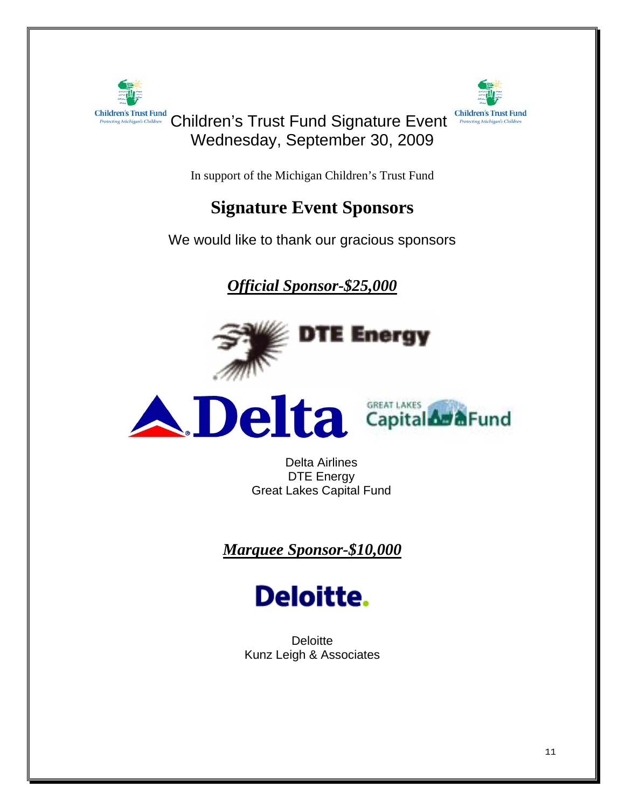

**Children's Trust Fund** 

### Children's Trust Fund Signature Event Wednesday, September 30, 2009

In support of the Michigan Children's Trust Fund

### **Signature Event Sponsors**

We would like to thank our gracious sponsors

*Official Sponsor-\$25,000*





Delta Airlines DTE Energy Great Lakes Capital Fund

*Marquee Sponsor-\$10,000*

# **Deloitte.**

**Deloitte** Kunz Leigh & Associates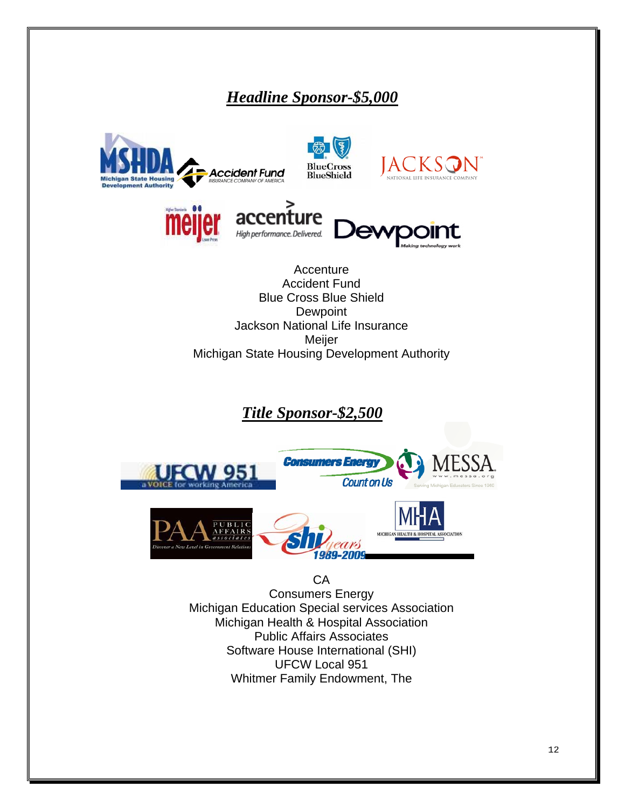### *Headline Sponsor-\$5,000*

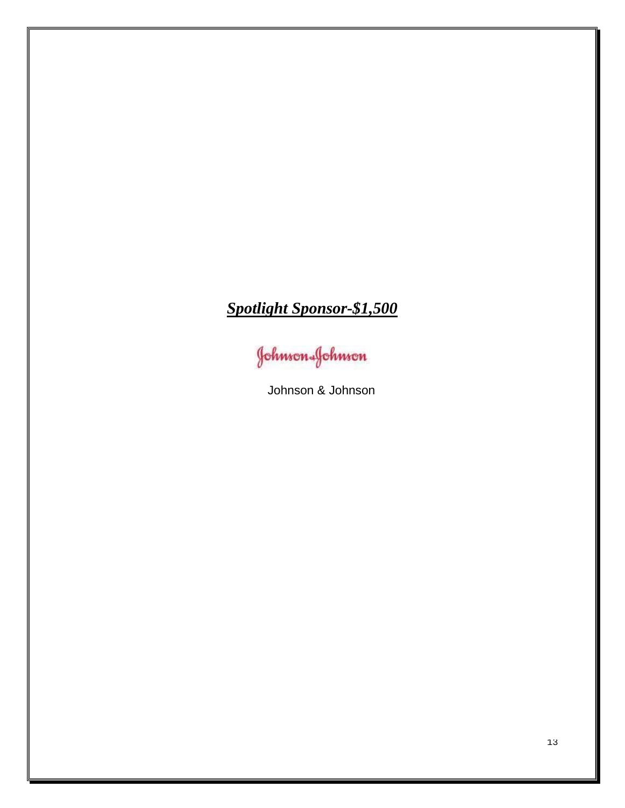# *Spotlight Sponsor-\$1,500*

Johnson-Johnson

Johnson & Johnson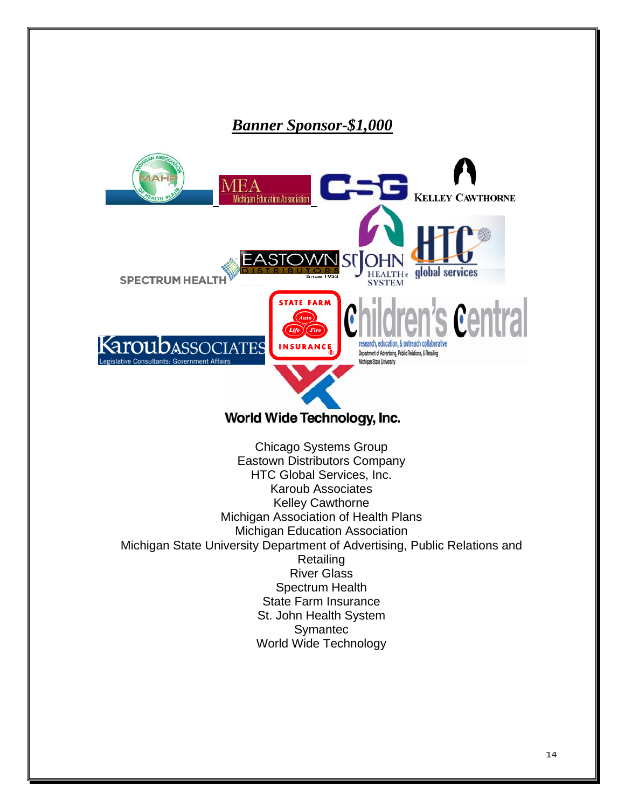